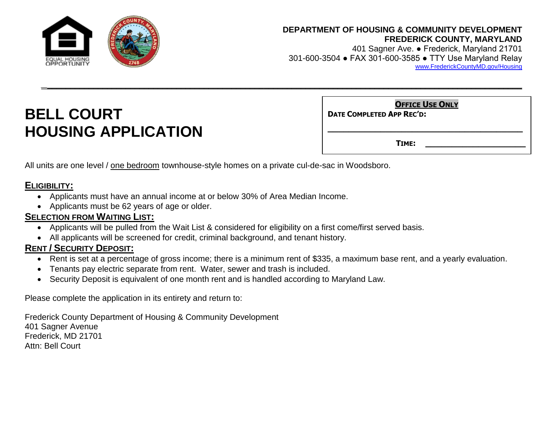

#### **DEPARTMENT OF HOUSING & COMMUNITY DEVELOPMENT FREDERICK COUNTY, MARYLAND**

401 Sagner Ave. ● Frederick, Maryland 21701 301-600-3504 ● FAX 301-600-3585 ● TTY Use Maryland Relay [www.FrederickCountyMD.gov/Housing](http://www.frederickcountymd.gov/Housing)

# **BELL COURT HOUSING APPLICATION**

**DATE COMPLETED APP REC'D:** 

**TIME: \_\_\_\_\_\_\_\_\_\_\_\_\_\_\_\_\_\_\_**

**\_\_\_\_\_\_\_\_\_\_\_\_\_\_\_\_\_\_\_\_\_\_\_\_\_\_\_\_\_\_\_\_\_\_\_\_\_** 

**OFFICE USE ONLY**

All units are one level / one bedroom townhouse-style homes on a private cul-de-sac in Woodsboro.

## **ELIGIBILITY:**

- Applicants must have an annual income at or below 30% of Area Median Income.
- Applicants must be 62 years of age or older.

### **SELECTION FROM WAITING LIST:**

- Applicants will be pulled from the Wait List & considered for eligibility on a first come/first served basis.
- All applicants will be screened for credit, criminal background, and tenant history.

#### **RENT / SECURITY DEPOSIT:**

Rent is set at a percentage of gross income; there is a minimum rent of \$335, a maximum base rent, and a yearly evaluation.

*\_\_*\_\_\_\_\_\_\_\_\_\_\_\_\_\_\_\_\_\_\_\_\_\_\_\_\_\_\_\_\_\_\_\_\_\_\_\_\_\_\_\_\_\_\_\_\_\_\_\_\_\_\_\_\_\_\_\_\_\_\_\_\_\_\_\_\_\_\_\_\_\_\_\_\_\_\_\_\_\_\_\_\_\_\_\_\_\_\_\_\_\_\_\_\_\_\_\_\_\_\_\_\_\_\_

- Tenants pay electric separate from rent. Water, sewer and trash is included.
- Security Deposit is equivalent of one month rent and is handled according to Maryland Law.

Please complete the application in its entirety and return to:

Frederick County Department of Housing & Community Development 401 Sagner Avenue Frederick, MD 21701 Attn: Bell Court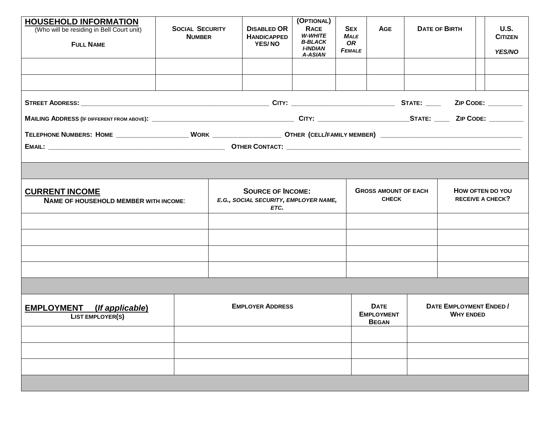| <b>HOUSEHOLD INFORMATION</b>                                          |                                         |                                                                           |                                                           | (OPTIONAL)                                                                    |                                                         |                                                  |  |                                                    |                                                |
|-----------------------------------------------------------------------|-----------------------------------------|---------------------------------------------------------------------------|-----------------------------------------------------------|-------------------------------------------------------------------------------|---------------------------------------------------------|--------------------------------------------------|--|----------------------------------------------------|------------------------------------------------|
| (Who will be residing in Bell Court unit)<br><b>FULL NAME</b>         | <b>SOCIAL SECURITY</b><br><b>NUMBER</b> |                                                                           | <b>DISABLED OR</b><br><b>HANDICAPPED</b><br><b>YES/NO</b> | <b>RACE</b><br>W-WHITE<br><b>B-BLACK</b><br><b>I-INDIAN</b><br><b>A-ASIAN</b> | <b>SEX</b><br><b>MALE</b><br><b>OR</b><br><b>FEMALE</b> | <b>AGE</b>                                       |  | <b>DATE OF BIRTH</b>                               | <b>U.S.</b><br><b>CITIZEN</b><br><b>YES/NO</b> |
|                                                                       |                                         |                                                                           |                                                           |                                                                               |                                                         |                                                  |  |                                                    |                                                |
|                                                                       |                                         |                                                                           |                                                           |                                                                               |                                                         |                                                  |  |                                                    | ZIP CODE: _________                            |
|                                                                       |                                         |                                                                           |                                                           |                                                                               |                                                         |                                                  |  |                                                    |                                                |
|                                                                       |                                         |                                                                           |                                                           |                                                                               |                                                         |                                                  |  |                                                    |                                                |
|                                                                       |                                         |                                                                           |                                                           |                                                                               |                                                         |                                                  |  |                                                    |                                                |
|                                                                       |                                         |                                                                           |                                                           |                                                                               |                                                         |                                                  |  |                                                    |                                                |
|                                                                       |                                         |                                                                           |                                                           |                                                                               |                                                         |                                                  |  |                                                    |                                                |
| <b>CURRENT INCOME</b><br><b>NAME OF HOUSEHOLD MEMBER WITH INCOME:</b> |                                         | <b>SOURCE OF INCOME:</b><br>E.G., SOCIAL SECURITY, EMPLOYER NAME,<br>ETC. |                                                           |                                                                               |                                                         | <b>GROSS AMOUNT OF EACH</b><br><b>CHECK</b>      |  | HOW OFTEN DO YOU<br><b>RECEIVE A CHECK?</b>        |                                                |
|                                                                       |                                         |                                                                           |                                                           |                                                                               |                                                         |                                                  |  |                                                    |                                                |
|                                                                       |                                         |                                                                           |                                                           |                                                                               |                                                         |                                                  |  |                                                    |                                                |
|                                                                       |                                         |                                                                           |                                                           |                                                                               |                                                         |                                                  |  |                                                    |                                                |
|                                                                       |                                         |                                                                           |                                                           |                                                                               |                                                         |                                                  |  |                                                    |                                                |
|                                                                       |                                         |                                                                           |                                                           |                                                                               |                                                         |                                                  |  |                                                    |                                                |
|                                                                       |                                         |                                                                           |                                                           |                                                                               |                                                         |                                                  |  |                                                    |                                                |
| <b>EMPLOYMENT</b> (If applicable)<br><b>LIST EMPLOYER(S)</b>          |                                         |                                                                           | <b>EMPLOYER ADDRESS</b>                                   |                                                                               |                                                         | <b>DATE</b><br><b>EMPLOYMENT</b><br><b>BEGAN</b> |  | <b>DATE EMPLOYMENT ENDED /</b><br><b>WHY ENDED</b> |                                                |
|                                                                       |                                         |                                                                           |                                                           |                                                                               |                                                         |                                                  |  |                                                    |                                                |
|                                                                       |                                         |                                                                           |                                                           |                                                                               |                                                         |                                                  |  |                                                    |                                                |
|                                                                       |                                         |                                                                           |                                                           |                                                                               |                                                         |                                                  |  |                                                    |                                                |
|                                                                       |                                         |                                                                           |                                                           |                                                                               |                                                         |                                                  |  |                                                    |                                                |
|                                                                       |                                         |                                                                           |                                                           |                                                                               |                                                         |                                                  |  |                                                    |                                                |